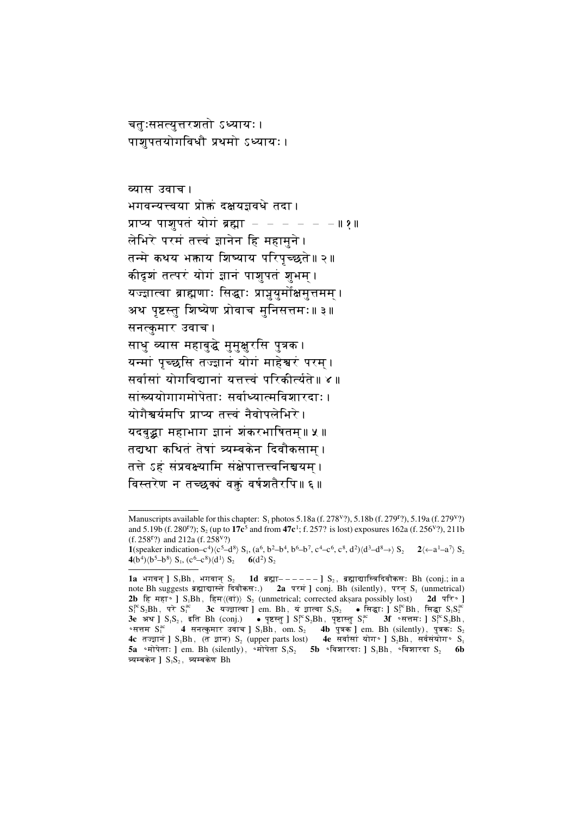चतुःसप्तत्युत्तरशतो ऽध्यायः । पाशुपतयोगविधौ प्रथमो ऽध्यायः।

व्यास उवाच। भगवन्यत्त्वया प्रोक्तं दक्षयज्ञवधे तदा । प्राप्य पाशुपतं योगं ब्रह्मा  $-$  - - - - - || १ || लेभिरे परमं तत्त्वं ज्ञानेन हि महामने । तन्मे कथय भक्ताय शिष्याय परिपृच्छते॥२॥ कीदृशं तत्परं योगं ज्ञानं पाशुपतं शुभम् । यज्ज्ञात्वा ब्राह्मणाः सिद्धाः प्राप्नयुर्मोक्षमुत्तमम । अथ पृष्टस्तु शिष्येण प्रोवाच मुनिसत्तमः॥३॥ सनत्कुमार उवाच । साधु व्यास महाबुद्धे मुमुक्षुरसि पुत्रक । यन्मां पुच्छुसि तज्ज्ञानं योगं माहेश्वरं परम । सर्वांसां योगविद्यानां यत्तत्त्वं परिकीर्त्यते॥ ४॥ सांख्ययोगागमोपेताः सर्वाध्यात्मविशारदाः। योगैश्वर्यमपि प्राप्य तत्त्वं नैवोपलेभिरे । यदबुद्धा महाभाग ज्ञानं शंकरभाषितम्॥ ५ ॥ तद्यथा कथितं तेषां त्र्यम्बकेन दिवौकसाम । तत्ते ऽहं संप्रवक्ष्यामि संक्षेपात्तत्त्वनिश्चयम । विस्तरेण न तच्छक्यं वक्तं वर्षशतैरपि॥६॥

Manuscripts available for this chapter: S<sub>1</sub> photos 5.18a (f. 278<sup>V</sup>?), 5.18b (f. 279<sup>T</sup>?), 5.19a (f. 279<sup>V</sup>?) and 5.19b (f. 280<sup>r</sup>?); S<sub>2</sub> (up to 17c<sup>5</sup> and from 47c<sup>1</sup>; f. 257? is lost) exposures 162a (f. 256<sup>v</sup>?), 211b (f. 258<sup>r</sup>?) and 212a (f. 258<sup>v</sup>?)

<sup>1(</sup>speaker indication-c<sup>4</sup>) $\langle c^5 - d^8 \rangle S_1$ ,  $(a^6, b^2 - b^4, b^6 - b^7, c^4 - c^6, c^8, d^2) \langle d^3 - d^8 \rangle S_2$  <br>2 $\langle -a^1 - a^7 \rangle S_2$  $4(b^4)\langle b^5-b^8\rangle S_1, (c^6-c^8)\langle d^1\rangle S_2$  6(d<sup>2</sup>) S<sub>2</sub>

<sup>1</sup>a भगवन | S, Bh, भगवान S, 1d ब्रह्मा ----- | S, ब्रह्माद्यास्त्रिदिवौकसः Bh (conj.; in a note Bh suggests ब्रह्माद्यास्ते दिवौकसः.) 2a परम ] conj. Bh (silently), परन् S<sub>1</sub> (unmetrical) 2b हि महा I S<sub>1</sub>Bh, हिम $\langle (\vec{q}\tau) \rangle$  S<sub>2</sub> (unmetrical; corrected aksara possibly lost) 2d परि∘l  $S_1^{pc}S_2Bh$ , परे  $S_1^{ac}$  3c यज्ज्ञात्वा ] em. Bh, यं ज्ञात्वा  $S_1S_2$  • सिद्धाः ]  $S_2^{pc}Bh$ , सिद्धा  $S_1S_2^{ac}$ 3e अथ ]  $S_1S_2$ , इति Bh (conj.) • पृष्टस्तु ]  $S_1^{pc}S_2Bh$ , पृष्टास्तु  $S_1^{ac}$  3f  $\circ \pi \pi \pi$ : ]  $S_1^{pc}S_2Bh$ , °सत्तम  $S_1^{\text{ac}}$  4 सनत्कुमार उवाच ] S<sub>1</sub>Bh, om S<sub>2</sub> 4b पुत्रक ] em Bh (silently), पुत्रकः S<sub>2</sub> 4c तज्ज्ञान ] S<sub>1</sub>Bh, (त ज्ञान) S<sub>2</sub> (upper parts lost) 4e सर्वासा योग ° ] S<sub>2</sub>Bh, सर्वसंयोग ° S<sub>1</sub> 5a •मोपेताः ] em. Bh (silently), •मोपेता  $S_1S_2$  5b •विशारदाः ]  $S_1Bh$ , •विशारदा  $S_2$  6b त्र्यम्बकेन ]  $S_1S_2$ , त्र्यम्बकेण Bh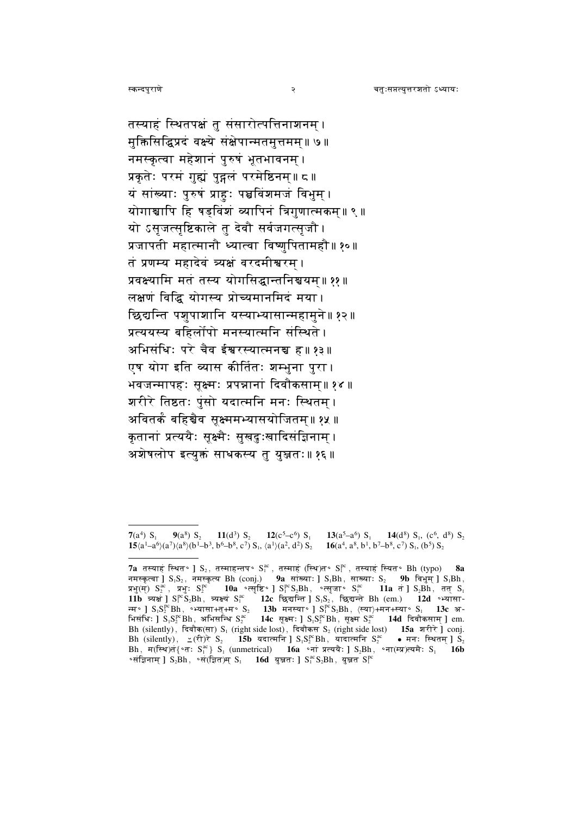तस्याहं स्थितपक्षं तु संसारोत्पत्तिनाशनम् । मुक्तिसिद्धिप्रदं वक्ष्ये संक्षेपान्मतमुत्तमम्॥ ७॥ नमस्कृत्वा महेशानं पुरुषं भूतभावनम् । प्रकृतेः परमं गुह्यं पुद्गलं परमेष्ठिनम्॥ ८॥ यं सांख्याः पुरुषं प्राहुः पञ्चविंशमजं विभुम् । योगाञ्चापि हि षड्विंशं व्यापिनं त्रिगुणात्मकम॥९॥ यो ऽसृजत्सृष्टिकाले तू देवौ सर्वजगत्सृजौ । प्रजापती महात्मानौ ध्यात्वा विष्णुपितामहौ॥१०॥ तं प्रणम्य महादेवं त्र्यक्षं वरदमीश्वरम । प्रवक्ष्यामि मतं तस्य योगसिद्धान्तनिश्चयम्॥ ११ ॥ लक्षणं विद्धि योगस्य प्रोच्यमानमिदं मया। छिद्यन्ति पशुपाशानि यस्याभ्यासान्महामुने॥१२॥ प्रत्ययस्य बहिर्लोपो मनस्यात्मनि संस्थिते । अभिसंधिः परे चैव ईश्वरस्यात्मनञ्च ह॥ १३॥ एष योग इति व्यास कीर्तितः शम्भुना पुरा। भवजन्मापहः सूक्ष्मः प्रपन्नानां दिवौकसाम्॥१४॥ शरीरे तिष्ठतः पुंसो यदात्मनि मनः स्थितम । अवितर्कं बहिञ्चैव सक्ष्ममभ्यासयोजितम॥ १५ ॥ कृतानां प्रत्ययैः सूक्ष्मैः सुखदुःखादिसंज्ञिनाम । अशेषलोप इत्युक्तं साधकस्य तु युञ्जतः॥ १६॥

२

 $7(a^4) S_1$  $9(a^8)$  S<sub>2</sub> 11(d<sup>3</sup>) S<sub>2</sub> 12(c<sup>5</sup>-c<sup>6</sup>) S<sub>1</sub> 13( $a^5-a^6$ ) S<sub>1</sub> 14(d<sup>8</sup>)  $S_1$ , (c<sup>6</sup>, d<sup>8</sup>)  $S_2$  $15\langle a^1-a^6\rangle(a^7)\langle a^8\rangle(b^1-b^3, b^6-b^8, c^7\rangle S_1, \langle a^1\rangle(a^2, d^2) S_2$   $16\langle a^4, a^8, b^1, b^7-b^8, c^7\rangle S_1, (b^5) S_2$ 

<sup>7</sup>a तस्याहं स्थित॰ ]  $S_2$ , तस्माहन्तप॰  $S_1^{ac}$ , तस्माहं (स्थि)त॰  $S_1^{pc}$ , तस्याहं स्यित॰  $B$ h (typo) 8а नमस्कत्वा |  $S_1S_2$ , नमस्कत्य Bh (coni.) 9a सांख्याः |  $S_1Bh$ , साख्याः  $S_2$  9b विभम |  $S_1Bh$ , प्रभु(म)  $S_2^{ac}$ , प्रभु:  $S_2^{pc}$  10a • त्सृष्टि॰ ]  $S_1^{pc}S_2Bh$ , • त्सुजा॰  $S_1^{ac}$  11a त ]  $S_2Bh$ , तत  $S_1$  $11b$   $\overline{z}$  and  $S_1^{pc}S_2Bh$ ,  $\overline{z}$  and  $S_1^{pc}S_2Bh$ ,  $\overline{z}$  and  $S_1^{pc}S_2Bh$ ,  $\overline{z}$  and  $S_1^{pc}S_2Bh$ ,  $\overline{z}$  and  $S_1^{pc}S_2Bh$ ,  $\overline{z}$  and  $S_1^{pc}S_2Bh$ ,  $\overline{z}$  and  $S_1^{pc}S_2Bh$ ,  $\overline{z}$  and  $S_1^{pc$ Bh (silently), दिवौक(सा) S<sub>1</sub> (right side lost), दिवौकस S<sub>2</sub> (right side lost) **15a** शरीरे ] conj.<br>Bh (silently),  $\angle$ (री)रे S<sub>2</sub> **15b** यदात्मनि ] S<sub>1</sub>S<sup>pc</sup>Bh, यादात्मनि S<sub>2</sub><sup>ac</sup> • मन: स्थितम् ] S<sub>2</sub> Bh, म(स्थि)तं{'त:  $S_i^{ac}$ } S<sub>1</sub> (unmetrical) 16a 'नां प्रत्ययैः ] S<sub>2</sub>Bh, 'ना(म्प्र)त्यमैः S<sub>1</sub> 16b ॰संज्ञिनाम् ]  $S_2Bh$ , ॰सं(ज़ित)म्  $S_1$  16d युझतः ]  $S_1^{\text{ac}}S_2Bh$ , युझत  $S_1^{\text{pc}}$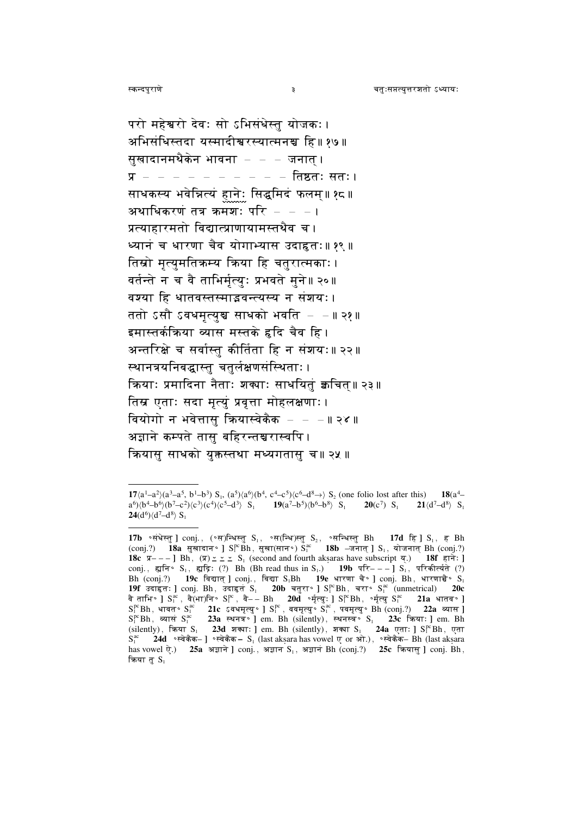परो महेश्वरो देवः सो ऽभिसंधेस्त योजकः। अभिसंधिस्तदा यस्मादीश्वरस्यात्मनञ्च हि॥ १७॥ सूखादानमथैकेन भावना – – – जनात् । प्र – – – – – – – – – – तिष्ठतः सतः। साधकस्य भवेन्नित्यं हानेः सिद्<mark>ध</mark>मिदं फलम्॥१<mark>८</mark>॥ अथाधिकरणं तत्र क्रमशः परि  $-$ प्रत्याहारमतो विद्यात्प्राणायामस्तथैव च । ध्यानं च धारणा चैव योगाभ्यास उदाहृतः॥ १९ ॥ तिस्रो मृत्युमतिकम्य किया हि चतुरात्मकाः। वर्तन्ते न च वै ताभिर्मृत्युः प्रभवते मुने॥ २०॥ वश्या हि धातवस्तस्माइवन्त्यस्य न संशयः। ततो ऽसौ ऽवधमृत्युञ्च साधको भवति – –॥२१॥ इमास्तर्कक्रिया व्यास मस्तके हृदि चैव हि । अन्तरिक्षे च सर्वास्तु कीर्तिता हि न संशयः॥ २२॥ स्थानत्रयनिबद्धास्तु चतुर्लक्षणसंस्थिताः । कियाः प्रमादिना नैताः शक्याः साधयितुं क्वचित॥ २३॥ तिस्र एताः सदा मृत्युं प्रवृत्ता मोहलक्षणाः। वियोगो न भवेत्तासु क्रियास्वेकैक $- - 1$ । २४ ॥ अज्ञाने कम्पते तास बहिरन्तञ्चरास्वपि । कियास साधको युक्तस्तथा मध्यगतास च॥२५॥

 $\overline{\mathbf{3}}$ 

 $17\langle a^1-a^2\rangle (a^3-a^5, b^1-b^3) S_1$ ,  $(a^5)\langle a^6\rangle (b^4, c^4-c^5)\langle c^6-d^8\rangle S_2$  (one folio lost after this)  $18(a^4-a^2)$  $a^6$ ) $\langle b^4-b^6 \rangle$  $(b^7-c^2)$  $\langle c^3 \rangle$  $(c^4)$  $\langle c^5-d^3 \rangle$   $S_1$  **19** $(a^7-b^5)$  $\langle b^6-b^8 \rangle$   $S_1$  $20(c^7)$  S<sub>1</sub>  $21\langle d^7-d^8\rangle$  S<sub>1</sub>  $24(d^6)\langle d^7-d^8\rangle S_1$ 

<sup>18</sup>c  $\overline{x}$ ---] Bh,  $(\overline{x})$   $\geq$   $\geq$   $\leq$  S<sub>1</sub> (second and fourth aksaras have subscript  $\overline{x}$ ) 18f  $\overline{\epsilon}$  17: ] conj., ह्युनि॰ S<sub>1</sub>, ह्युद्रि: (?) Bh (Bh read thus in S<sub>1</sub>.) 19b परि---] S<sub>1</sub>, परिकीर्त्यते (?) Bh (conj.?) 19c विद्यात् ] conj., विद्या  $S_1Bh$  19e धारणा चै॰ ] conj. Bh, धारणाचै॰  $S_1$ 19f उदाहृतः ] conj. Bh, उदाहृतं $S_1$  20b चतुरा॰ ]  $S_1^{pc}$ Bh, चरा॰  $S_1^{ac}$  (unmetrical) **20c** and the string of the strategy of the contribution of the strategy of the strategy of the strategy of the strategy of the strategy of the strategy of the strategy of the strategy of the strategy of the strategy of the str  $S_1^{ac}$  24d ॰ स्वेकैक-] ॰ स्वेकैक -  $S_1$  (last aksara has vowel ए or ओ.), ॰ स्वेकैक- Bh (last aksara has vowel ऐ.) 25a अज्ञाने ] conj., अज्ञान S<sub>1</sub>, अज्ञान Bh (conj.?) 25c कियासु ] conj. Bh, किया तू $S_1$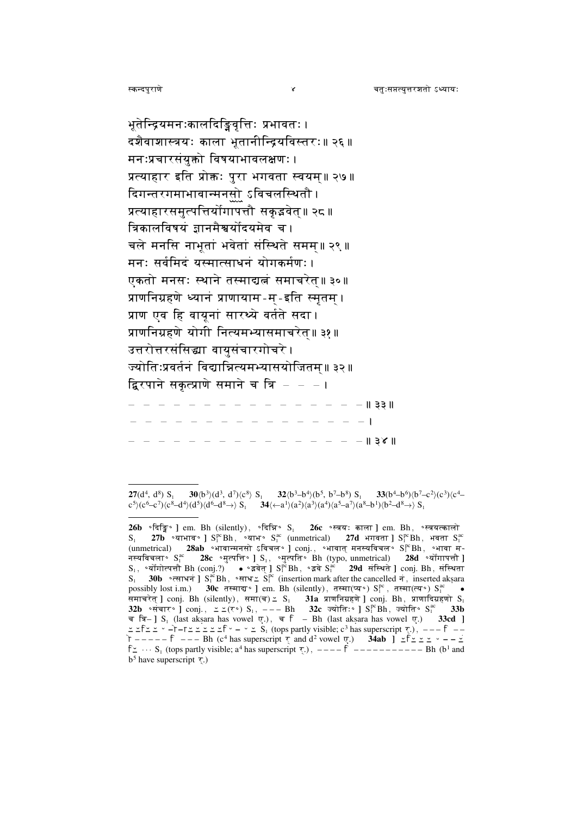भूतेन्द्रियमनःकालदिङ्डिवृत्तिः प्रभावतः । दशैवाशास्त्रयः काला भूतानीन्द्रियविस्तरः॥ २६॥ मनःप्रचारसंयुक्तो विषयाभावलक्षणः । प्रत्याहार इति प्रोक्तः पुरा भगवता स्वयम॥ २७॥ दिगन्तरगमाभावान्मनसो ऽविचलस्थितौ । प्रत्याहारसमुत्पत्तिर्योगापत्तौ सकुइवेत॥ २८ ॥ त्रिकालविषयं ज्ञानमैश्वर्योदयमेव च । चले मनसि नाभूतां भवेतां संस्थिते समम॥ २९ ॥ मनः सर्वमिदं यस्मात्साधनं योगकर्मणः। एकतो मनसः स्थाने तस्माद्यत्नं समाचरेत॥३०॥ प्राणनिग्रहणे ध्यानं प्राणायाम-म-इति स्मृतम् । प्राण एव हि वायूनां सारथ्ये वर्तते सदा। प्राणनिग्रहणे योगी नित्यमभ्यासमाचरेत॥३१॥ उत्तरोत्तरसंसिद्धा वायुसंचारगोचरे । ज्योतिःप्रवर्तनं विद्यान्नित्यमभ्यासयोजितम॥३२॥ द्विरपाने सकृत्प्राणे समाने च त्रि - - - ।  $\|$  33 ||  $- - - - 13$ 

<sup>30(</sup>b<sup>3</sup>)(d<sup>3</sup>, d<sup>7</sup>)(c<sup>8</sup>)  $S_1$  32(b<sup>3</sup>-b<sup>4</sup>)(b<sup>5</sup>, b<sup>7</sup>-b<sup>8</sup>)  $S_1$  33(b<sup>4</sup>-b<sup>6</sup>)(b<sup>7</sup>-c<sup>2</sup>)(c<sup>3</sup>)(c<sup>4</sup>- $27(d^4, d^8)$  S.  $c^5$ )( $c^6$ - $c^7$ )( $c^8$ - $d^4$ )( $d^5$ )( $d^6$ - $d^8$ - $\rightarrow$ )  $S_1$  34( $\leftarrow$  $a^1$ )( $a^2$ )( $a^3$ )( $a^4$ )( $a^5$ - $a^7$ )( $a^8$ - $b^1$ )( $b^2$ - $d^8$ - $\rightarrow$ )  $S_1$ 

 $26b$  ∘दिङ्डि॰ ] em. Bh (silently), ∘दिन्नि॰  $S_1$  26 $c$  ॰स्त्रयः काला ] em. Bh, ॰स्त्रयत्कालो  $S_1$  27b •याभाव • ]  $S_1^{pc}Bh$ , •याभ •  $S_1^{ac}$  (unmetrical) 27d भगवता ]  $S_1^{pc}Bh$ , भवता  $S_1^{ac}$  (unmetrical) 28ab •भावान्मनसो ऽविचल • ]  $conj.$ , •भावात् मनस्यविचल •  $S_1^{pc}Bh$ , •भावा म-नस्यविचला°  $S_1^{\text{ac}}$  28 $c$  ॰मुत्पत्ति॰ ]  $S_1$ , ॰मुत्पति॰ Bh (typo, unmetrical) 28d ॰योंगापत्तौ ]  $S_1$ , °योंगोत्पत्तौ Bh (conj.?) • °इवेत् ]  $S_1^{pc}$ Bh, °इवे  $S_1^{ac}$  29d संस्थिते ] conj. Bh, संस्थिता S. 30b •  $\overline{ext}$  and  $S_i^{\alpha}$  Bh, •  $\overline{ext}$  and  $S_i^{\alpha}$  (insertion mark after the cancelled  $\overline{\tau}$ , inserted aksara possibly lost i.m.) 30c तस्मादा° ] em. Bh (silently), तस्मा(प्य°)  $S_i^{pc}$ , तस्मा(त्य°)  $S_i^{ac}$  • possibly lost finity over a collected 1 cm. En (shently), accident 9 of 3 accretive 9 of 8 and strategies of  $\mathbf{S}_1$ <br>  $\mathbf{32b}$   $\circ \pi \pi \tau \circ 1$  conj.,  $\leq \leq (\tau \circ) S_1$ ,  $\cdots$  Bh 32c  $\pi \pi \tau \circ 1 S_1^{\text{reg}}$  Sn,  $\pi \tau \circ 33$  $\leq$   $\leq$   $\frac{1}{2}$   $\leq$   $\leq$   $\leq$   $\leq$   $\leq$   $\leq$   $\leq$   $\leq$   $\leq$   $\leq$   $\leq$   $\leq$   $\leq$   $\leq$   $\leq$   $\leq$   $\leq$   $\leq$   $\leq$   $\leq$   $\leq$   $\leq$   $\leq$   $\leq$   $\leq$   $\leq$   $\leq$   $\leq$   $\leq$   $\leq$   $\leq$   $\leq$   $\leq$   $\uparrow$  -----  $\uparrow$  --- Bh (c<sup>4</sup> has superscript  $\uparrow$  and d<sup>2</sup> vowel  $\uparrow$ ) 34ab ]  $\leq \uparrow \leq \leq$  -- $\leq$  $f \leq \cdots S_1$  (tops partly visible; a<sup>4</sup> has superscript  $\overline{\zeta}$ .), ----  $\overline{f}$  ---------- Bh (b<sup>1</sup> and  $b<sup>5</sup>$  have superscript  $\overline{\zeta}$ .)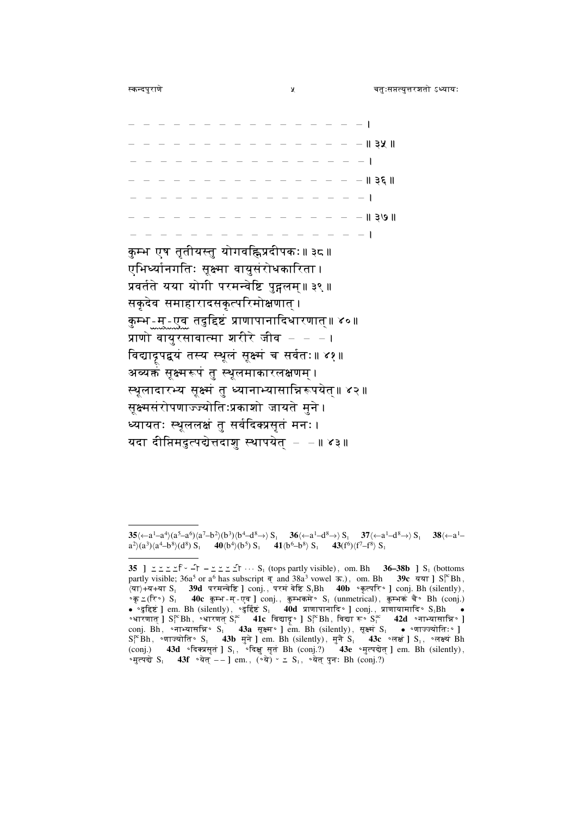- - - - - - - - - - - - - - 11 32 11  $- - - - - - - - 1361$  $- - - - - 1391$  $-$  1

कुम्भ एष तृतीयस्तु योगवह्निप्रदीपकः॥ ३८॥ एभिर्थ्यानगतिः सूक्ष्मा वायुसंरोधकारिता । प्रवर्तते यया योगी परमन्वेष्टि पुद्गलम॥३९॥ सकृदेव समाहारादसकृत्परिमोक्षणात् । कुम्भ - म् - एव तदुद्दिष्टं प्राणापानादिधारणात्॥ ४०॥ प्राणो वायुरसावात्मा शरीरे जीव $\,$ विद्याद्रपद्वयं तस्य स्थूलं सूक्ष्मं च सर्वतः ॥ ४१ ॥ अव्यक्तं सूक्ष्मरूपं तु स्थूलमाकारलक्षणम् । स्थूलादारभ्य सूक्ष्मं तु ध्यानाभ्यासान्निरूपयेत्॥ ४२॥ सुक्ष्मसंरोपणाज्ज्योतिःप्रकाशो जायते मुने । ध्यायतः स्थूललक्षं तु सर्वदिक्प्रसृतं मनः। यदा दीप्तिमदुत्पद्येत्तदाशु स्थापयेत - - ॥ ४३॥

 $35\left(-a^1-a^4\right)\left(a^5-a^6\right)\left(a^7-b^2\right)\left(b^3\right)\left(b^4-d^8\right)\right)S_1$   $36\left(-a^1-d^8\right)\left(S_1$   $37\left(-a^1-d^8\right)\right)S_1$   $38\left(-a^1-a^8\right)$  $a^2(a^3)(a^4-b^8)(d^8) S_1$  40(b<sup>4</sup>)(b<sup>5</sup>) S<sub>1</sub> 41(b<sup>6</sup>-b<sup>8</sup>) S<sub>1</sub> 43(f<sup>6</sup>)(f<sup>7</sup>-f<sup>8</sup>) S<sub>1</sub>

<sup>35 ]</sup>  $\leq$   $\leq$   $\leq$   $\leq$   $\sim$   $\sim$   $\leq$   $\leq$   $\sim$   $S_1$  (tops partly visible), om. Bh 36-38b ]  $S_1$  (bottoms partly visible;  $36a^5$  or  $a^6$  has subscript  $\overline{q}$  and  $38a^3$  vowel  $\overline{r}$ .), om. Bh 39c  $\overline{q}$  and  $3\overline{q}$   $\overline{r}$  and  $3\overline{q}$  $\langle$ या $\rangle$ +य+या S<sub>1</sub> 39d परमन्वेष्टि ] conj., परमं वेष्टि S<sub>1</sub>Bh 40b • कृत्परि• ] conj. Bh (silently),  $\circ \pi \leq (\overline{\tau} \circ) S_1$  40c कुम्भ-म्-एव ] conj., कुम्भकमे $\circ S_1$  (unmetrical), कुम्भक चै $\circ$  Bh (conj.) • "दुद्दिष्टं ] em. Bh (silently), "दुर्दिष्टं S<sub>1</sub> 40d प्राणापानादि " ] conj., प्राणायामादि " S<sub>1</sub> Bh .<br>• भारणात् ] S<sub>1</sub><sup>e</sup> Bh, "भारणत् S<sub>1</sub><sup>e</sup> 41c विद्याद<sub>्</sub> ] S<sub>1</sub><sup>e</sup> Bh, विद्या रू S<sub>1</sub><sup>e</sup> 42d "नाभ्यासान्नि" ] conj. B (conj.) 43d . दिक्प्रसृतं ]  $S_1$ , . दिक्षु सृतं Bh (conj.?) 43e . मुत्पद्येत् ] em. Bh (silently), •मुत्पद्ये  $S_1$  43f •येत् --] em., (•ये)  $\sim$   $\leq S_1$ , •येत् पुनः Bh (conj.?)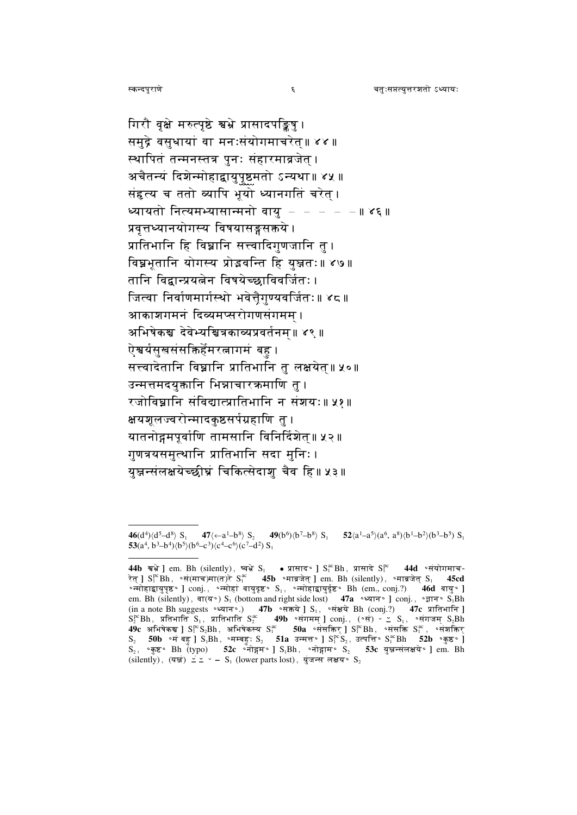गिरौ वृक्षे मरुत्पृष्ठे श्वभ्रे प्रासादपङ्किषु । समुद्रे वसुधायां वा मनःसंयोगमाचरेत्॥ ४४ ॥ स्थापितं तन्मनस्तत्र पुनः संहारमाव्रजेत् । अचैतन्यं दिशेन्मोहाद्वायुपृष्ठमतो ऽन्यथा॥ ४५ ॥ संहृत्य च ततो व्यापि भूयो ध्यानगतिं चरेत् । ध्यायतो नित्यमभ्यासान्मनो वायु  $- - - - \| \delta \xi \|$ प्रवृत्तध्यानयोगस्य विषयासङ्गसक्तये । प्रातिभानि हि विघ्नानि सत्त्वादिगुणजानि तु । विघ्नभुतानि योगस्य प्रोड़वन्ति हि युझतः॥४७॥ तानि विद्वान्प्रयत्नेन विषयेच्छाविवर्जितः। जित्वा निर्वाणमार्गस्थो भवेत्तैगुण्यवर्जितः॥ ४८॥ आकाशगमनं दिव्यमप्सरोगणसंगमम । अभिषेकञ्च देवेभ्यञ्चित्रकाव्यप्रवर्तनम॥ ४९ ॥ ऐश्वर्यसुखसंसक्तिर्हेमरत्नागमं बह । सत्त्वादेतानि विघ्नानि प्रातिभानि तु लक्षयेत्॥ ५०॥ उन्मत्तमदयुक्तानि भिन्नाचारक्रमाणि तु । रजोविघ्नानि संविद्यात्प्रातिभानि न संशयः॥ ५१॥ क्षयशलज्वरोन्मादकष्ठसर्पग्रहाणि त । यातनोद्गमपूर्वाणि तामसानि विनिर्दिशेत॥ ५२॥ गुणत्रयसमुत्थानि प्रातिभानि सदा मुनिः। यञ्जन्संलक्षयेच्छीघ्रं चिकित्सेदाश चैव हि॥ ५३॥

 $\epsilon$ 

<sup>47</sup> $\langle -a^1-b^8 \rangle S$ , 49 $(b^6)\langle b^7-b^8 \rangle S$ 46(d<sup>4</sup>) $\langle$ d<sup>5</sup>-d<sup>8</sup>) S<sub>1</sub>  $52\langle a^1-a^5\rangle (a^6, a^8)\langle b^1-b^2\rangle (b^3-b^5) S_1$ 53(a<sup>4</sup>, b<sup>3</sup>-b<sup>4</sup>) $\langle b^5 \rangle$ (b<sup>6</sup>-c<sup>3</sup>) $\langle c^4 - c^6 \rangle$ (c<sup>7</sup>-d<sup>2</sup>) S<sub>1</sub>

<sup>44</sup>b सभे ] em. Bh (silently), ष्वभे S<sub>1</sub> • प्रासाद S<sub>1</sub> S<sub>1</sub> Eh, प्रासादे S<sub>1</sub><sup>ec</sup> 44d ∘संयोगमाच-रेत ]  $S_i^{pc}$ Bh, ॰सं(माच)मा(त)रे  $S_i^{ac}$  45b ॰माव्रजेत ] em. Bh (silently), ॰माव्रजेत  $S_i$ ∘न्मोहाद्वायुपृष्ठ॰ ]  $\text{conj.}, \circ \overline{\text{imig}}$ हां वायुदृष्ट॰  $\mathbf{S}_1, \circ \overline{\text{imig}}$ ायुर्दृष्ट॰  $\mathbf{B}$ h  $(\text{em.}, \text{conj.})$  46d वायु॰ ] em. Bh (silently), बा(य°) S<sub>1</sub> (bottom and right side lost) 47a °ध्यान° ] conj., °ज्ञान° S<sub>1</sub>Bh om, but once by the content of the state of the conj.;  $\lambda$  or  $\lambda$  or  $\lambda$  or  $\lambda$  or  $\lambda$  or  $\lambda$  or  $\lambda$  or  $\lambda$  or  $\lambda$  or  $\lambda$  or  $\lambda$  or  $\lambda$  or  $\lambda$  or  $\lambda$  or  $\lambda$  or  $\lambda$  or  $\lambda$  or  $\lambda$  or  $\lambda$  or  $\lambda$  or  $\lambda$   $S_2$  50b ॰मं बहु ]  $S_1Bh$ , ॰मम्बहु:  $S_2$  51a उन्मत्त॰ ]  $S_1^{pc}S_2$ , उत्पत्ति॰  $S_1^{ac}Bh$  52b ॰कुष्ठ॰ ]  $S_2$ , 'कुष्ट' Bh (typo) 52c 'नोद्गम' J S<sub>1</sub>Bh, 'नोद्गाम' S<sub>2</sub> 53c युज्जन्संलक्षये' J em. Bh (silently), (यञ्ज)  $\leq$   $\leq$   $\sim$  - S<sub>1</sub> (lower parts lost), युंजन्स लक्षय° S<sub>2</sub>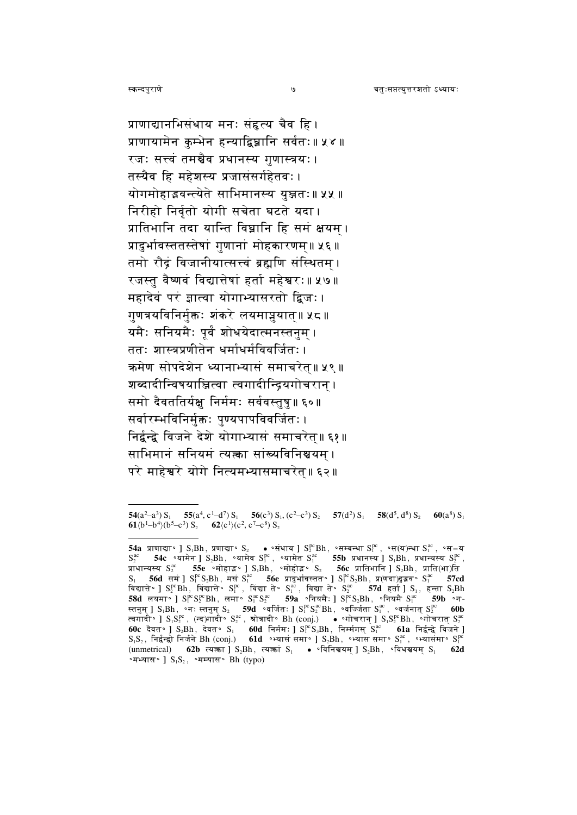प्राणाद्यानभिसंधाय मनः संहृत्य चैव हि । प्राणायामेन कुम्भेन हन्याद्विघ्नानि सर्वतः॥ ५४॥ रजः सत्त्वं तमञ्चैव प्रधानस्य गुणास्त्रयः। तस्यैव हि महेशस्य प्रजासंसर्गहेतवः । योगमोहाद्भवन्त्येते साभिमानस्य युञ्जतः॥ ५५ ॥ निरीहो निर्वतो योगी सचेता घटते यदा। प्रातिभानि तदा यान्ति विघ्नानि हि समं क्षयम । प्रादुर्भावस्ततस्तेषां गुणानां मोहकारणम॥ ५६॥ तमो रौद्रं विजानीयात्सत्त्वं ब्रह्मणि संस्थितम । रजस्तु वैष्णवं विद्यात्तेषां हर्ता महेश्वरः॥ ५७॥ महादेवं परं ज्ञात्वा योगाभ्यासरतो द्विजः। गुणत्रयविनिर्मुक्तः शंकरे लयमाप्नुयात॥ ५८॥ यमैः सनियमैः पूर्वं शोधयेदात्मनस्तनुम । ततः शास्त्रप्रणीतेन धर्माधर्मविवर्जितः। क्रमेण सोपदेशेन ध्यानाभ्यासं समाचरेत॥ ५९ ॥ शब्दादीन्विषयाञ्जित्वा त्वगादीन्द्रियगोचरान । समो दैवततिर्यक्षु निर्ममः सर्ववस्तुषु॥ ६०॥ सर्वारम्भविनिर्मक्तः पण्यपापविवर्जितः। निर्द्वन्द्वे विजने देशे योगाभ्यासं समाचरेत॥६१॥ साभिमानं सनियमं त्यत्का सांख्यविनिश्चयम । परे माहेश्वरे योगे नित्यमभ्यासमाचरेत॥६२॥

 $\mathcal{O}$ 

<sup>54(</sup>a<sup>2</sup>-a<sup>3</sup>) S<sub>1</sub> 55(a<sup>4</sup>, c<sup>1</sup>-d<sup>7</sup>) S<sub>1</sub> 56(c<sup>3</sup>) S<sub>1</sub>, (c<sup>2</sup>-c<sup>3</sup>) S<sub>2</sub> 57(d<sup>2</sup>) S<sub>1</sub> 58(d<sup>5</sup>, d<sup>8</sup>) S<sub>2</sub> 60(a<sup>8</sup>) S<sub>1</sub> 61 $\langle b^1-b^4\rangle(b^5-c^3) S_2$  62 $\langle c^1\rangle(c^2, c^7-c^8) S_2$ 

<sup>54</sup>a प्राणाद्या॰ |  $S_1Bh$ , प्रणाद्या॰  $S_2$  • • संधाय |  $S_2^{pc}Bh$ , • सम्बन्धा  $S_1^{pc}$ , • स $(T)$ न्धा  $S_1^{ac}$ , • स $-$ य  $S_2^{ac}$  54 $c$  •यामेन ]  $S_2Bh$ , •यामेव  $S_1^{pc}$ , •यामेत  $S_1^{ac}$  55b प्रधानस्य ]  $S_1Bh$ , प्रधान्यस्य  $S_2^{pc}$ , प्राप्तान्यस्य  $S_2^{pc}$ , प्राप्तान्यस्य  $S_2^{pc}$ , प्राप्तान्यस्य  $S_2^{pc}$ , प्राप्तान्यस्य  $S_2^{bc}$ S<sub>1</sub> 56d सम | SP S, Bh, मस Sac 56e प्रादर्भावस्तत | SP S, Bh, प्र(णदा) दुइव Sac 57cd विद्यात्ते • ] SP Bh, विद्यात्ते • SP , विद्या ते • S<sup>ac</sup>, विद्या ते • Sac 57d हर्ता ] S<sub>i</sub>, हन्ता S<sub>2</sub>Bh<br>58d लयमा • ] SP SP Bh, लमा • Sac 59a • नियमै: ] SP S<sub>2</sub>Bh, • नियमै Sac 59b • न-स्तनुम् ]  $S_1Bh$ , °नः स्तनुम्  $S_2$  59d °वर्जितः ]  $S_1^{pc}S_2^{ac}Bh$ , °वर्ज्जिता  $S_1^{ac}$ , °वर्जनात्  $S_2^{pc}$  60b स्तनुम् ] S<sub>i</sub>Spi, ज्यः स्तनुम् S<sub>2</sub> – **39u** – बाजतः ] S<sub>i</sub> S<sub>2</sub> Bn, –वाज्जता S<sub>i</sub> , –वजनात् S<sub>2</sub> – **600**<br>त्वगादी॰ ] S<sub>i</sub>Sp़<sup>e</sup>, (न्द)गादी॰ S<sub>2</sub><sup>e</sup>, त्रोत्रादी॰ Bh (conj.) – ● ॰गोचरान् ] S<sub>i</sub>Sp़<sup>e</sup>Bh, 。गोचरात् S<sub>2</sub>º<br>60c (unmetrical) 62b त्यक्ता ]  $S_2Bh$ , त्यक्तां  $S_1$  · • विनिश्चयम् ]  $S_2Bh$ , • विधश्चयम्  $S_1$  $62d$ **•मभ्यास** • ]  $S_1S_2$ , •मम्यास • Bh (typo)